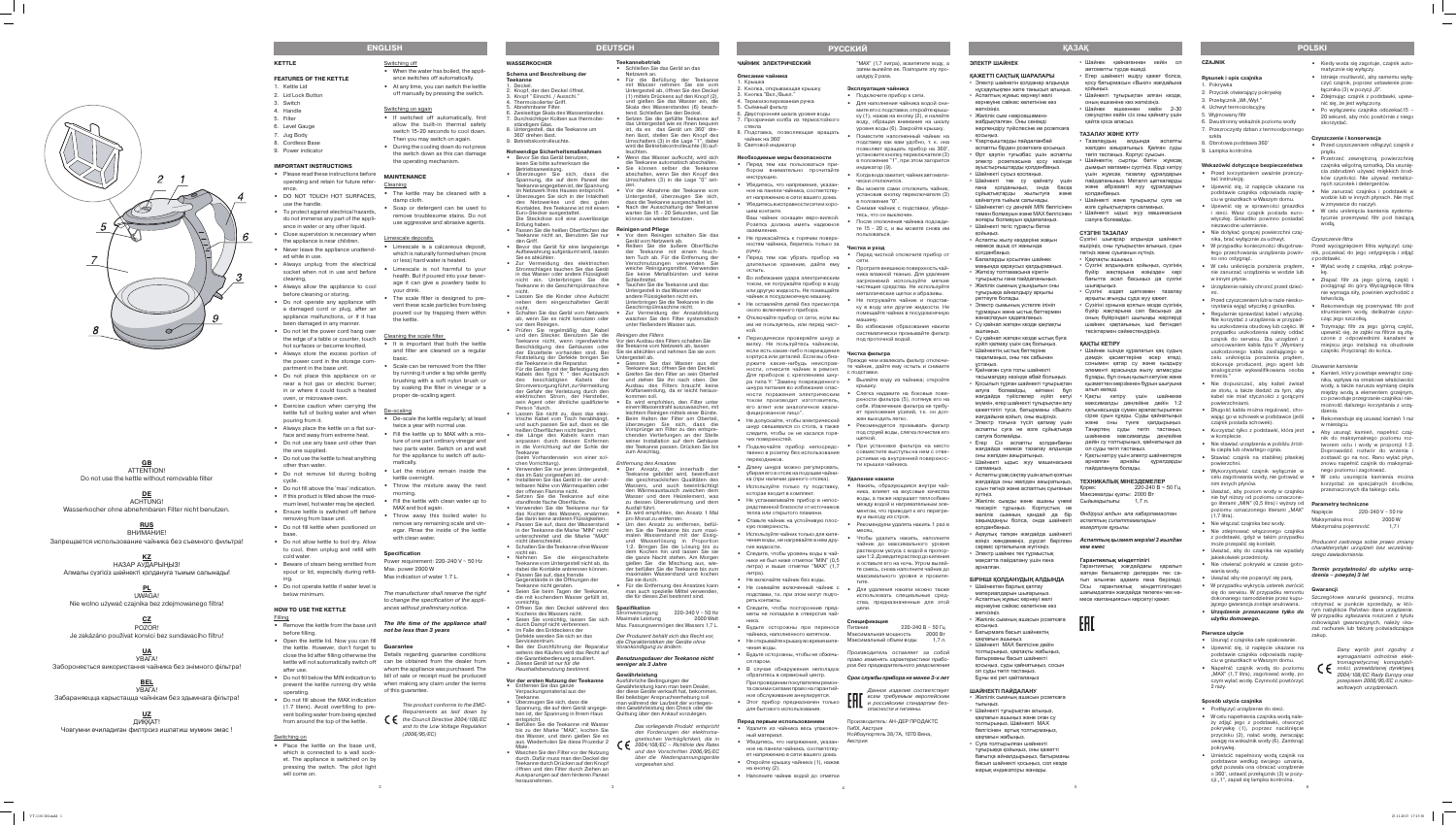#### **Czajnik**

### **Rysunek i opis czajnika**

- 1. Pokrywka 2. Przycisk otwierający pokrywkę
- 3. Przełącznik "Wł./Wył."
- 4. Uchwyt termoizolacyjny
- 5. Wyjmowany filtr
- 6. Dwustronny wskaźnik poziomu wody
- 7. Przezroczysty dzban z termoodpornego szkła
- 8. Obrotowa podstawa 360°
- 9. Lampka kontrolna

## **Wskazówki dotyczące bezpieczeństwa**

- **•** Podłączyć urządzenie do sieci.
- **•** W celu napełnienia czajnika wodą należy zdjąć jego z podstawki, otworzyć pokrywkę (1), poprzez naciśnięcie przycisku (2), nalać wodę, zwracając uwagę na wskaźnik wody (6). Zamknąć pokrywkę.
- **•** Umieścić napełniony wodą czajnik na podstawce według swojego uznania, gdyż pozwala ona obracać urządzenie o 360°, ustawić przełącznik (3) w pozycji "1", zapali się lampka kontrolna.
- **•** Przed korzystaniem uważnie przeczytać instrukcję.
- **•** Upewnić się, iż napięcie ukazane na podstawie czajnika odpowiada napięciu w gniazdkach w Waszym domu.
- **•** Upewnić się w sprawności gniazdka i sieci. Wasz czajnik posiada eurowtyczkę. Gniazdko powinno posiadać ezawodne uziemienie
- **•** Nie dotykać gorącej powierzchni czajnika, brać wyłącznie za uchwyt.
- **•** W przypadku konieczności długotrwa-Przed wyciągnięciem filtra wyłączyć czajno ono ostygnąć.
- **•** W celu uniknięcia porażenia prądem, **•** Wylać wodę z czajnika, zdjąć pokrywnie zanurzać urządzenia w wodzie lub w innym płynie.
- **•** Urządzenie należy chronić przed dziećmi.
- **•** Przed czyszczeniem lub w razie niesko-
- rzystania wyjąć wtyczkę z gniazdka.
- **•** Regularnie sprawdzać kabel i wtyczkę. Nie korzystać z urządzenia w przypadku uszkodzenia obudowy lub części. W przypadku uszkodzenia należy oddać czajnik do serwisu. Dla urządzeń z umocowaniem kabla typu Y: "Wymiany uszkodzonego kabla zasilającego w celu uniknięcia porażenia prądem, dokonuje producent, jego agent lub analogicznie wykwalifikowana osoba trzecia."
- **•** Nie dopuszczać, aby kabel zwisał ze stołu, a także śledzić za tym, aby kabel nie miał styczności z gorącymi powierzchniami.
- **•** Długość kabla można regulować, chowając go w schowek w podstawce (jeśli czajnik posiada schowek).
- **•** Korzystać tylko z podstawki, która jest w komplecie.
- **•** Nie stawiać urządzenia w pobliżu źródła ciepła lub otwartego ognia.
- **•** Stawiać czajnik na stabilnej płaskiej powierzchni.
- **•** Wykorzystywać czajnik wyłącznie w celu zagotowania wody, nie gotować w nim innych płynów.
- **•** Uważać, aby poziom wody w czajniku nie był niższy od poziomu oznaczonego literami "MIN" (0,5 litra) i wyższy od **Parametry techniczne** poziomu oznaczonego literami "MAX" (1,7 litra).
- **•** Nie włączać czajnika bez wody.
- **•** Nie zdejmować włączonego czajnika z podstawki, gdyż w takim przypadku może przepalić się kontakt.
- **•** Uważać, aby do czajnika nie wpadały jakiekolwiek przedmioty.
- **•** Nie otwierać pokrywki w czasie gotowania wody.
- **•** Uważać aby nie poparzyć się parą. **•** W przypadku wykrycia usterek zwrócić
- się do serwisu. W przypadku remontu dokonanego samodzielnie przez kupującego gwarancja zostaje anulowana.
- **• Urządzenie przeznaczone tylko do użytku domowego.**

łego przechowania urządzenia powin-nik, poczekać do jego ostygnięcia i zdjąć z podstawki.

## **Pierwsze użycie**

- **•** Usunąć z czajnika całe opakowanie.
- **•** Upewnić się, iż napięcie ukazane na podstawie czajnika odpowiada napięciu w gniazdkach w Waszym domu.
- **•** Napełnić czajnik wodą do poziomu "MAX" (1,7 litra), zagotować wodę, po czym wylać wodę. Czynność powtórzyć 2 razy.

## **Sposób użycia czajnika**

Szczegółowe warunki gwarancji, można otrzymać w punkcie sprzedaży, w którym nabyliście Państwo dane urządzenie. W przypadku zgłaszania roszczeń z tytułu zobowiązań gwarancyjnych, należy okazać rachunek lub fakturę poświadczające zakup.



Желілік сым «евроашамен жабдықталған. Оны сенімді

Ұзартқыштарлы пайлапанбай аспапты бірден розеткаға қосыңыз. • Өрт қаупін туғызбас үшін аспапты электр розеткасына қосу кезінде ауыстырғыштарды қолданбаңыз. Шайнекті сусыз коспаныз.

- **•** Kiedy woda się zagotuje, czajnik automatycznie się wyłączy.
- **•** Istnieje możliwość, aby samemu wyłączyć czajnik, poprzez ustawienie przełącznika (3) w pozycji "0".
- **•** Zdejmując czajnik z podstawki, upewnić się, że jest wyłączony.
- **•** Po wyłączeniu czajnika odczekać15 20 sekund, aby móc powtórnie z niego skorzystać.

Электр сымының үстелге ілініг тұрмауын және ыстық беттермен жанаспауын қадағалаңыз. • Су қайнап жатқан кезде қақпақты

#### **Czyszczenie i konserwacja**

Қайнаған суға толы шайнект тасымалдау кезінде абай болыңыз. • Қосылып тұрған шайнекті тұғырықтан алуға болмайды, өйткені бұл жағдайда түйіспелер күйіп кетуі мүмкін, егер шайнекті тұғырықтан алу қажеттілігі туса, батырманы «Выкл» жағдайына қойып, оны өшіріңіз. Электр тоғына түсіп қалмау үшін аспапты суға не өзге сұйықтыққа

- **•** Przed czyszczeniem odłączyć czajnik z prądu.
- **•** Przetrzeć zewnętrzną powierzchnię czajnika wilgotną szmatką. Dla usunięcia zabrudzeń używać miękkich środków czystości. Nie używać metalicznych szczotek i detergentów.
- **•** Nie zanurzać czajnika i podstawki w wodzie lub w innych płynach. Nie myć w zmywarce do naczyń.
- **•** W celu uniknięcia kamienia systematycznie przemywać filtr pod bieżącą wodą.

Желілік сымды және ашаны үнемі тексеріп тұрыңыз. Корпустың не

Акаулык тапкан жағдайда шайнекті

#### Czyszczenie filtra

Шайнекті MAX белгісіне дейін толтырыңыз, қақпақты жабыңыз, батырманы басып шайнекті қосыңыз, суды қайнатыңыз, сосын

- kę.
- Złapać filtr za jego górną część pociągnąć do góry. Wyciągnięcie filtra nie wymaga siły, powinien wychodzić z łatwością.
- **•** Rekomenduje się przemywać filtr pod strumieniem wody, delikatnie czyszcząc jego szczotką.
- **•** Trzymając filtr za jego górną część, upewnić się, że ząbki na filtrze są złączone z odpowiednimi kanałami w miejscu jego instalacji na obudowie czajniki. Przycisnąć do końca.

Usuwanie kamienia

- **•** Kamień, który powstaje wewnątrz czajnika, wpływa na smakowe właściwośc wody, a także narusza wymianę ciepła między wodą a elementem grzejnym, co powoduje przegrzanie czajnika i niemożność dalszego korzystania z urządzenia.
- **•** Rekomenduje się usuwać kamień 1 raz w miesiącu.
- **•** Aby usunąć kamień, napełnić czajnik do maksymalnego poziomu roztworem octu i wody w proporcji 1:2. Doprowadzić roztwór do wrzenia i zostawić go na noc. Rano wylać płyn, znowu napełnić czajnik do maksymalnego poziomu i zagotować.
- **•** W celu usunięcia kamienia można korzystać ze specjalnych środków, przeznaczonych dla takiego celu.

| Napiecie             | 220-240 V ~ 50 Hz |
|----------------------|-------------------|
| Maksymalna moc       | 2000 W            |
| Maksymalna pojemność | 1.71              |

Кақты кетіру үшін шайнекке максималды деңгейіне дейін 1:2 қатынасында сумен араластырылған сірке суын құяды. Суды қайнатыңыз және оны түнге қалдырыңыз. Таңертең суды төгіп тастаңыз, шайнекке максималды деңгейіне дейін су толтырыңыз, қайнатыңыз да

Кақты кетіру үшін электр шайнектерге арналған арнайы құралдарды

> Producent zastrzega sobie prawo zmiany charakterystyki urządzeń bez wcześniejszego zawiadomienia.

**Termin przydatności do użytku urzą‑ dzenia – powyżej 3 lat**

#### **Gwarancji**

Dany wyrób jest zgodny z wymaganiami odnośnie elektromagnetycznej kompatybilności, przewidzianej dyrektywą 2004/108/EC Rady Europy oraz przepisem 2006/95/EC o nizkowoltowych urządzeniach.

# **POLSKI**

**ЭЛЕКТР ШАЙНЕК**

**ҚАЖЕТТІ САҚТЫҚ ШАРАЛАРЫ** • Электр шайнегін қолданар алдында нұсқаулықпен жете танысып алыңыз. • Аспаптың жұмыс кернеуі желі кернеуіне сәйкес келетініне көз

жеткізіңіз.

жерлендіру түйіспесіне ие розеткаға

қосыңыз.

• Шайнекті тек су қайнату үшін ғана қолданыңыз, онда басқа сүйыктыктарды жылытуға қайнатуға тыйым салынады.

Шайнектегі су деңгейі MIN белгісінен төмен болмауын және MAX белгісінен жоғары болмауын қадағалаңыз. Шайнекті тегіс тұрақты бетке

қойыңыз.

• Аспапты жылу көздеріне жақын немесе ашық от жанында

қолданбаңыз.

• Балаларды қосылған шайнек маңында қараусыз қалдырмаңыз. Жеткізу топтамасына кіретін тұғырықты ғана пайдаланыңыз. Желілік сымның ұзындығын оны тұғырыққа айналдыру арқылы

реттеуге болады.

ашпаңыз.

• Су қайнап жатқан кезде ыстық буға күйіп қалмау үшін сақ болыңыз. Шайнектін ыстык беттеріне тақалмаңыз, оны тек сабынан

ұстаңыз.

салуға болмайды.

• Егер Сіз аспапты қолданбаған жағдайда немесе тазалау алдында

оны желіден ажыратыңыз.

• Шайнекті ыдыс жуу машинасына

салмаңыз.

• Аспаптыұзақ сақтау үшіналып қоятын жағдайда оны желіден ажыратыңыз, суын төгіңіз және аспаптың суығанын

күтіңіз.

қолданбаңыз.

- **•** Накипь, образующаяся внутри чайника, влияет на вкусовые качества воды, а также нарушает теплообмен между водой и нагревательным элементом, что приводит к его перегреву и выходу из строя.
- **•** Рекомендуем удалять накипь 1 раз в месяц.
- **•** Чтобы удалить накипь, наполните чайник до максимального уровня раствором уксуса с водой в пропорции 1:2. Доведите раствор до кипения и оставьте его на ночь. Утром вылейте смесь, снова наполните чайник до максимального уровня и прокипя тите.
- **•** Не снимайте включенный чайник с **•** Для удаления накипи можно также использовать специальные средства, предназначенные для этой цели

сервис орталығына жүгініңіз. • Электр шайнек тек тұрмыстық мақсатта пайдалану үшін ғана

арналған.

**БІРІНШІ ҚОЛДАНУДЫҢ АЛДЫНДА** Шайнектен барлық қаптау материалдарын шығарыңыз. • Аспаптың жұмыс кернеуі желі кернеуіне сәйкес келетініне көз

жеткізіңіз.

• Желілік сымның ашасын розеткаға

• Не открывайте крышку во время кипя- Максимальный объем воды 1,7 л. Питание 220-240 В ~ 50 Гц Максимальная мощность 2000 Вт қосыңыз.

• Батырмаға басып шайнектің қақпағын ашыңыз.

ол суды төгіп тастаңыз. Бұны екі рет қайталаңыз **ШАЙНЕКТІ ПАЙДАЛАНУ**

• Желілік сымның ашасын розеткаға

тығыңыз.

• Шайнекті тұғырықтан алыңыз, қақпағын ашыңыз және оған су толтырыңыз. Шайнекті MAX белгісінен артық толтырмаңыз,

қақпағын жабыңыз. • Суға толтырылған шәйнекті тұғырыққа қойыңыз, оны қажетті бағытқа айналдырыңыз, батырманы басып шайнекті қосыңыз, сол кезде жарық индикаторы жанады.

• Шайнек қайнағаннан кейін ол

автоматты түрде өшеді.

• Егер шайнекті өшіру қажет болса, қосу батырмасын «Выкл» жағдайына

қойыңыз.

• Шайнекті тұғырықтан алған кезде, оның өшкеніне көз жеткізіңіз. • Шайнек өшкеннен кейін 2-30 секундтан кейін сіз оны қайнату үшін

қайта қоса аласыз. **ТАЗАЛАУ ЖӘНЕ КҮТУ**

#### **•** Prüfen Sie regelmäßig das Kabel und den Stecker. Benutzen Sie die Reinigen des Filters

• Тазалаудың алдында аспапты желіден ажыратыңыз. Қалған суды төгіп тастаңыз. Корпус суысын. Шайнектің сыртқы бетін жұмсақ дымқыл матамен сүртіңіз. Кірді кетіру үшін жұмсақ тазалау құралдарын пайдаланыңыз. Металл щеткаларды және абразивті жуу құралдарын

Шайнекті және тұғырықты суға не өзге сұйықтықтарға салмаңыз. Шайнекті ыдыс жуу машинасына

желілік сымның қандай да бір *Өндіруші алдын ала хабарламастан*  зақымдануы болса, онда шайнекті *аспаптың сипаттамаларын* 

өзіңіз жөндемеңіз, рұқсат берілген *Аспаптың қызмет мерзімі 3 жылдан* 

қолданбаңыз.

салуға болмайды. **СҮЗГІНІ ТАЗАЛАУ**

Сүзгіні шығарар алдында шайнекті өшіріңіз, оны тұғырықтан алыңыз, суын

төгіңіз және суығанын күтіңіз. • Қақпақты ашыңыз.

• Сүзгіні алдыңызға қойыңыз, сүзгінің бүйір жақтарына өзіңізден кері бағытта асәл басыңыз да сүзгіні

шығарыңыз.

**•** Passen Sie auf, dass fremde iegenstände in die Öffnungen der

• Сүзгіні аздап щеткамен тазалау арқылы ағынды суда жуу қажет. • Сүзігіні орнына қоятын кезде сүзгінің бүйір жақтарына сәл басыңыз да оның бүйіріндегі шығыңқы жерлерді шайнек қақпағының ішкі бетіндегі тесіктермен сәйкестендіріңіз.

eekanne nicht geraten. **•** Seien Sie beim Tagen der Teekanne, die mit kochendem Wasser gefüllt ist, **ҚАҚТЫ КЕТІРУ**

• Шайнек ішінде құралатын қақ судың дәмдік қасиеттеріне әсер етеді, сонымен қатар су және қыздыру элементі арасында жылу алмасуды бұзады, бұл оның қызып кетуіне және қызметтен мерзімнен бұрын шығуына

алып келеді.

ол суды төгіп тастаңыз.

пайдалануға болады.

**ТЕХНИКАЛЫҚ МІНЕЗДЕМЕЛЕР**

Қорек: 220-240 В ~ 50 Гц

Максималды қуаты: 2000 Вт Сыйымдылығы: 1,7 л.

*өзгертуге құқылы.*

*кем емес* 

**Гарантиялық мiндеттiлiгi**

Гарантиялық жағдайдағы қаралып жатқан бөлшектер дилерден тек сатып алынған адамға ғана берiледi. Осы гарантиялық мiндеттiлiгiндегi шағымдалған жағдайда төлеген чек немесе квитанциясын көрсетуi қажет.

**Қазақ**

5

## **Чайник электриЧеский**

- Teekanne nicht an, Benutzen Sie nur · **•** Bevor das Gerät für eine langwierige Aufbewahrung aufgeräumt wird, lassen **•** Vor dem Reinigen schalten Sie das Gerät vom Netzwerk ab. **•** Reiben Sie die äußere Oberfläche der Teekanne mit einem feuch-
- Teekanne in die Geschirrspülmaschine tem Tuch ab. Für die Entfernung der Verschmutzungen verwenden Sie weiche Reinigungsmittel. Verwenden keine Metallbürsten und keine Schleifmittel.
	- **•** Tauchen Sie die Teekanne und das Untergestell in das Wasser oder andere Flüssigkeiten nicht ein. Unterbringen Sie die Teekanne in die
	- schirrspülmaschine nicht **•** Zur Vermeidung der Ansatzbildung waschen Sie den Filter systematisch unter fließendem Wasser aus.
- **описание чайника**
- . Крышка 2. Кнопка, открывающая крышку
- 3. Кнопка "Вкл./Выкл."
- 4. Термоизолированная ручка 5. Съёмный фильтр
- 6. Двусторонняя шкала уровня воды
- 7. Прозрачная колба из термостойкого стекла 8. Подставка, позволяющая вращать
- чайник на 360° 9. Световой индикатор

## **Необходимые меры безопасности •** Перед тем как пользоваться при-

- бором внимательно прочитайте инструкцию. **•** Убедитесь, что напряжение, указан
	- ное на панели чайника, соответствует напряжению в сети вашего дома. **•** Убедитесь в исправности сети и хорошем контакте.
	- Ваш чайник оснащен евро-вилкой. Розетка должна иметь надежное заземление.
	- **•** Не прикасайтесь к горячим поверхностям чайника, беритесь только за ручку.
	- **•** Перед тем как убрать прибор на длительное хранение, дайте ему остыть.
	- **•** Во избежание удара электрическим током, не погружайте прибор в воду или другую жидкость. Не помещайте чайник в посудомоечную машину.
	- **•** Не оставляйте детей без присмотра около включенного прибора.
	- **•** Отключайте прибор от сети, если вы им не пользуетесь, или перед чисткой.
	- **•** Периодически проверяйте шнур и вилку. Не пользуйтесь чайником, если есть какие-либо повреждения корпуса или деталей. Если вы обнаружите какие-нибудь неисправности, отнесите чайник в ремонт. Для приборов с креплением шнура типа Y: "Замену поврежденного шнура питания во избежание опасности поражения электрическим током производит изготовитель, его агент или аналогичное квалифицированное лицо".
	- **•** Не допускайте, чтобы электрический шнур свешивался со стола, а также следите, чтобы он не касался горячих поверхностей.
- **•** Подключайте прибор непосредственно в розетку без использования переходников.
- **•** Длину шнура можно регулировать, убирая его в отсек на подошве чайника (при наличии данного отсека).
- **•** Используйте только ту подставку, которая входит в комплект.
- **•** Не устанавливайте прибор в непосредственной близости от источников тепла или открытого пламени.
- **•** Ставьте чайник на устойчивую плоскую поверхность.
- **•** Используйте чайник только для кипячения воды, не нагревайте в нем другие жидкости.
- **•** Следите, чтобы уровень воды в чайнике не был ниже отметки "MIN" (0,5 литра) и выше отметки "MAX" (1,7 литра).
- **•** Не включайте чайник без воды.
- подставки, т.к. при этом могут подгореть контакты.
- **•** Следите, чтобы посторонние предметы не попадали в отверстия чайника.
- **•** Будьте осторожны при переносе чайника, наполненного кипятком.
- чения воды. **•** Будьте осторожны, чтобы не обжечь-
- ся паром.
- **•** В случае обнаружения неполадок обратитесь в сервисный центр. При проведении покупателем ремонта своими силами право на гарантийное обслуживание аннулируется.
- **•** Этот прибор предназначен только для бытового использования.

#### **Перед первым использованием •** Удалите из чайника весь упаковоч-ГмбХ, Австрия ный материал.

- **Cleaning •** The kettle may be cleaned with a
- damp cloth. **•** Soap or detergent can be used to remove troublesome stains. Do not use aggressive and abrasive agents.

- **•** Убедитесь, что напряжение, указанное на панели чайника, соответствует напряжению в сети вашего дома.
- **•** Откройте крышку чайника (1), нажав
- на кнопку (2). **•** Наполните чайник водой до отметки
	-

"MAX" (1,7 литра), вскипятите воду, а затем вылейте ее. Повторите эту процедуру 2 раза.

### **Эксплуатация чайника**

- **•** Подключите прибор к сети. **•** Для наполнения чайника водой снимите его с подставки, откройте крышку (1), нажав на кнопку (2), и налейте воду, обращая внимание на шкалу уровня воды (6). Закройте крышку.
- **•** Поместите наполненный чайник на подставку как вам удобно, т. к. она позволяет вращать прибор на 360°, установите кнопку переключателя (3) в положение "1", при этом загорится индикатор (9).
- **•** Когда вода закипит, чайник автоматически отключится.
- **•** Вы можете сами отключить чайник, установив кнопку переключателя (3) в положение "0".
- **•** Снимая чайник с подставки, убедитесь, что он выключен.
- **•** После отключения чайника подождите 15 - 20 с, и вы можете снова им пользоваться.

#### **Чистка и уход**

- **•** Перед чисткой отключите прибор от сети.
- **•** Протрите внешнюю поверхность чайника влажной тканью. Для удаления загрязнений используйте мягкие чистящие средства. Не используйте металлические щетки и абразивы.
- **•** Не погружайте чайник и подставку в воду или другие жидкости. Не помещайте чайник в посудомоечную машину.
- **•** Во избежание образования накипи систематически промывайте фильтр под проточной водой.

#### **Чистка фильтра**

Прежде чем извлекать фильтр отключие чайник, дайте ему остыть и снимите с подставки.

- **•** Вылейте воду из чайника; откройте крышку.
- **•** Слегка надавите на боковые поверхности фильтра (5), потянув его на себя. Извлечение фильтра не требует приложения усилий, т.к. он должен выходить легко.
- **•** Рекомендуется промывать фильтр под струей воды, слегка почистив его щеткой.
- **•** При установке фильтра на место совместите выступы на нем с отверстиями на внутренней поверхности крышки чайника.

#### **Удаление накипи**

#### **Спецификация**

Производитель оставляет за собой право изменять характеристики приборов без предварительного уведомления

**Срок службы прибора не менее 3-х лет**

Данное изделие соответствует всем требуемым европейским и российским стандартам безопасности и гигиены. Производитель: АН-ДЕР ПРОДАКТС

Нойбаугюртель 38/7А, 1070 Вена,

Австрия

# **русский**

4

# **Schema und Beschreibung der**

- **Teekanne** 1. Deckel.
- 2. Knopf, der den Deckel öffnet. 3. Knopf " Einschl. / Ausschl."
- . Thermoisolierter Griff. Abnehmbarer Filter.
- Zweiseitige Skala des Wasserstandes 7. Durchsichtiger Kolben aus thermobe-
- ständigem Glas. 8. Untergestell, das die Teekanne um
- 360° drehen lässt. 9. Betriebskontrolleuchte.

#### **Notwendige Sicherheitsmaßnahmen •** Bevor Sie das Gerät benutzen, lesen Sie bitte aufmerksam die Betriebsanweisung.

**•** Überzeugen Sie sich, dass die Innung, die auf dem Paneel der Teekanne angegeben ist, der Spannung im Netzwerk Ihres Hauses entspricht. **•** Überzeugen Sie sich in der Intaktheit des Netzwerkes und des guten Kontaktes. Ihre Teekanne ist mit einem

Euro-Stecker ausgestattet.

Die Steckdose soll eine zuverlässige

Erdung haben.

den Griff.

Sie es abkühlen.

**•** Zur Vermeidung des elektrischen Stromschlages tauchen Sie das Gerät in das Wasser oder andere Flüssigkeit nicht ein. Unterbringen Sie die

nicht.

**•** Lassen Sie die Kinder ohne Aufsicht neben dem eingeschalteten Gerät

nicht.

**•** Schalten Sie das Gerät vom Netzwerk ab, wenn Sie es nicht benutzen oder

vor dem Reinigen.

die Teekanne in die Reparatur.

Person "durch.

**•** Lassen Sie nicht zu, dass das elektrische Kabel vom Tisch herabhängt,

heißen Oberflächen nicht berührt.

anpassen durch dessen Entfernen

Teekanne

chen Vorrichtung).

das im Satz vorgesehen ist. **•** Installieren Sie das Gerät in der unmittelbaren Nähe von Wärmequellen oder

der offenen Flamme nicht.

**•** Setzen Sie die Teekanne auf eine standfeste flache Oberfläche. **•** Verwenden Sie die Teekanne nur für

Sie darin keine anderen Flüssigkeiten.

in der Teekanne die Marke "MIN" nicht unterschreitet und die Marke "MAX"

**•** Schalten Sie die Teekanne ohne Wasse

nicht überschreitet.

nicht ein.

**•** Nehmen Sie die eingeschaltete Teekanne vom Untergestell nicht ab, da dabei die Kontakte anbrennen können.

### **•** Fassen Sie die heißen Oberflächen der **Reinigen und Pflege**

vorsichtig.

Kochens des Wassers nicht.

durch Dampf nicht verbrennen. **•** Im Falle des Entdeckens der Defekte wenden Sie sich an das

Servicezentrum.

**•** Bei der Durchführung der Reparatur seitens des Käufers wird das Recht auf die Garantiebedienung annulliert. **•** Dieses Gerät ist nur für die Haushaltsbenutzung bestimmt. **Vor der ersten Nutzung der Teekanne**

**•** Entfernen Sie das ganze Verpackungsmaterial aus der

Teekanne.

**•** Überzeugen Sie sich, dass die

Teekanne nicht, wenn irgendwelche Vor den Ausbau des Filters schalten Sie Beschädigung des Gehäuses oder die Teekanne vom Netzwerk ab, lassen der Einzelteile vorhanden sind. Bei Sie sie abkühlen und nehmen Sie sie vom Feststellung der Defekte bringen Sie Untergestell ab.

Spannung, die auf dem Gerät angegeben ist, der Spannung in Ihrem Haus

entspricht.

**•** Befüllen Sie die Teekanne mit Wasser bis zu der Marke "MAX", kochen Sie das Wasser, und dann gießen Sie es aus. Wiederholen Sie diese Prozedur 2 **•** Waschen Sie den Filter vor der Nutzung

Male.

durch. Dafür muss man den Deckel der Teekanne durch Drücken auf den Knopf öffnen und den Filter durch Ziehen an Aussparungen auf dem hinteren Paneel

- Für die Geräte mit der Befestigung des Kabels des Typs Y: " den Austausch des beschädigten Kabels der Stromversorgung führt, zur Vermeidung der Gefahr der Verletzung durch den elektrischen Strom, der Hersteller, **•** Giessen Sie das Wasser aus der Teekanne aus; öffnen Sie den Deckel. **•** Greifen Sie den Filter an sein Oberteil und ziehen Sie ihn nach oben. Der Ausbau des Filters braucht keine Kraftanwendung, da er leicht herauskommen soll.
- sein Agent oder ähnliche qualifizierte **•** Es wird empfohlen, den Filter unter inem Wasserstrahl auszuwaschen, mi leichtem Reinigen mittels einer Bürste. **•** Beim Halten der Filter am Oberteil,
- und auch passen Sie auf, dass es die **•** die Länge des Kabels kann man in die Vorrichtung auf der Sohle der überzeugen Sie sich, dass die Vorsprünge am Filter zu den entsprechenden Vertiefungen an der Stelle seiner Installation auf dem Gehäuse der Teekanne passen. Drücken Sie bis zum Anschlag.

herausnehmen.

## **Teekannebetrieb**

**•** Schließen Sie das Gerät an das Netzwerk an.

#### (beim Vorhandensein von einer sol-**•** Verwenden Sie nur jenes Untergestell, Entfernung des Ansatzes

- **•** Für die Befüllung der Teekanne mit Wasser nehmen Sie sie vom Untergestell ab, öffnen Sie den Deckel (1) mittels Drückens auf den Knopf (2), und gießen Sie das Wasser ein, die Skala des Wasserstandes (6) beachtend. Schließen Sie den Deckel.
- **•** Setzen Sie die gefüllte Teekanne auf das Untergestell wie es Ihnen bequem ist, da es das Gerät um 360° drehen lässt, stellen Sie den Knopf des Umschalters (3) in die Lage "1", dabei wird die Betriebskontrolleuchte (9) aufleuchten.
- **•** Wenn das Wasser aufkocht, wird sich die Teekanne automatisch abschalten.
- **•** Sie können selber die Teekanne abschalten, wenn Sie den Knopf des Umschalters (3) in die Lage "0" set-
- zen. **•** Vor der Abnahme der Teekanne vom Untergestell, überzeugen Sie sich, dass die Teekanne ausgeschaltet ist. **•** Nach der Ausschaltung der Teekanne
- warten Sie 15 20 Sekunden, und Sie können sie wieder benutzen.

#### **•** Öffnen Sie den Deckel während des **Spezifikation**

**•** Seien Sie vorsichtig, lassen Sie sich Stromversorgung 220-240 V ~ 50 Hz Maximale Leistung **2000** Watt Max. Fassungsvermögen des Wassers 1,7 L.

- **•** Der Ansatz, der innerhalb der Teekanne gebildet wird, beeinfluss die geschmacklichen Qualitäten des Wassers, und auch beeinträchtigt den Wärmeaustausch zwischen dem Wasser und dem Heizelement, was zu dessen Übererwärmung und dem Ausfall führt.
- as Kochen des Wassers, erwärmen **•** Passen Sie auf, dass der Wasserstand **•** Es wird empfohlen, den Ansatz 1 Mal pro Monat zu entfernen.
	- **•** Um den Ansatz zu entfernen, befüllen Sie die Teekanne bis zum maximalen Wasserstand mit der Essig-Wasserlösung in Proportion 1:2. Bringen Sie die Lösung bis zu dem Kochen hin und lassen Sie sie die ganze Nacht stehen. Am Morgen gießen Sie die Mischung aus, wieder befüllen Sie die Teekanne bis zum aximalen Wasserstand und kocher Sie sie durch.
	- **•** Für die Entfernung des Ansatzes kann man auch spezielle Mittel verwenden, die für dieses Ziel bestimmt sind.

Der Produzent behält sich das Recht vor, die Charakteristiken der Geräte ohne Vorankündigung zu ändern.

#### **Benutzungsdauer der Teekanne nicht weniger als 3 Jahre**

## **Gewährleistung**

Ausführliche Bedingungen der Gewährleistung kann man beim Dealer, der diese Geräte verkauft hat, bekommen. Bei beliebiger Anspruchserhebung soll man während der Laufzeit der vorliegenden Gewährleistung den Check oder die Quittung über den Ankauf vorzulegen.

Das vorliegende Produkt entspricht

den Forderungen der elektromagnetischen Verträglichkeit, die in  $\epsilon$  2004/108/EC – Richtlinie des Rates und den Vorschriften 2006/95/EC über die Niederspannungsgeräte vorgesehen sind.

# **DEUTSCH**

3

# **KETTLE**

# **FEATURES OF THE KETTLE**

1. Kettle Lid

- 2. Lid Lock Button
- 3. Switch 4. Handle
- 5. Filter
- 6. Level Gauge
- 7. Jug Body
- 8. Cordless Base
- 9. Power indicator

# **IMPORTANT INSTRUCTIONS**

- **•** Please read these instructions before operating and retain for future reference.
- **•** DO NOT TOUCH HOT SURFACES, use the handle.
- **•** To protect against electrical hazards, do not immerse any part of the appliance in water or any other liquid.
- **•** Close supervision is necessary when the appliance is near children.
- **•** Never leave the appliance unattended while in use. **•** Always unplug from the electrical
- socket when not in use and before cleaning,
- **•** Always allow the appliance to cool before cleaning or storing.
- **•** Do not operate any appliance with a damaged cord or plug, after an appliance malfunctions, or if it has been damaged in any manner.
- **•** Do not let the power cord hang over the edge of a table or counter, touch hot surfaces or become knotted.
- **•** Always store the excess portion of the power cord in the storage compartment in the base unit.
- **•** Do not place this appliance on or near a hot gas or electric burner; in or where it could touch a heated oven, or microwave oven.
- **•** Exercise caution when carrying the kettle full of boiling water and when De-scaling pouring from it.
- **•** Always place the kettle on a flat surface and away from extreme heat.
- **•** Do not use any base unit other than the one supplied. **•** Do not use the kettle to heat anything
- other than water. **•** Do not remove lid during boiling
- cycle. **•** Do not fill above the 'max' indication.
- **•** If this product is filled above the maxi-
- mum level, hot water may be ejected. **•** Ensure kettle is switched off before removing from base unit.
- **•** Do not fill kettle when positioned on base.
- **•** Do not allow kettle to boil dry. Allow to cool, then unplug and refill with cold water.
- **•** Beware of steam being emitted from spout or lid, especially during refill-Max. power 2000 W ing.
- **•** Do not operate kettle if water level is below minimum.

# **HOW TO USE THE KETTLE**

- Filling
- **•** Remove the kettle from the base unit before filling.
- **•** Open the kettle lid. Now you can fill the kettle. However, don't forget to **Guarantee**  after use.
- **•** Do not fill below the MIN indication to bill of sale or receipt must be produced operating.
- **•** Do not fill above the MAX indication (1.7 liters). Avoid overfilling to prevent boiling water from being ejected from around the top of the kettle.

# Switching on

**•** Place the kettle on the base unit, which is connected to a wall socket. The appliance is switched on by pressing the switch. The pilot light will come on.

# Switching off

- **•** When the water has boiled, the appliance switches off automatically.
- **•** At any time, you can switch the kettle off manually by pressing the switch.

# Switching on again

- **•** If switched off automatically, first allow the built-in thermal safety switch 15-20 seconds to cool down. Then you may switch on again.
- **•** During the cooling down do not press the switch down as this can damage the operating mechanism.

# **MAINTENANCE**

# Limescale deposits

- **•** Limescale is a calcareous deposit, which is naturally formed when (more or less) hard water is heated.
- **•** Limescale is not harmful to your health. But if poured into your beverage it can give a powdery taste to your drink.
- **•** The scale filter is designed to prevent these scale particles from being poured our by trapping them within the kettle.

close the lid after filling otherwise the Details regarding guarantee conditions kettle will not automatically switch off can be obtained from the dealer from prevent the kettle running dry while when making any claim under the terms whom the appliance was purchased. The of this guarantee.

# Cleaning the scale filter

- **•** It is important that both the kettle and filter are cleaned on a regular basic.
- **•** Scale can be removed from the filter by running it under a tap while gently brushing with a soft nylon brush or by soaking the filter in vinegar or a proper de-scaling agent.

- **•** De-scale the kettle regularly; at least twice a year with normal use. **•** Fill the kettle up to MAX with a mixture of one part ordinary vinegar and
- two parts water. Switch on and wait for the appliance to switch off automatically.
- **•** Let the mixture remain inside the kettle overnight.
- **•** Throw the mixture away the next morning.
- **•** Fill the kettle with clean water up to MAX and boil again.
- **•** Throw away this boiled water to remove any remaining scale and vinegar. Rinse the inside of the kettle with clean water.

# **Specification**

Power requirement: 220-240 V ~ 50 Hz Max indication of water 1.7 L.

The manufacturer shall reserve the right to change the specification of the appliances without preliminary notice.

**The life time of the appliance shall not be less than 3 years**

This product conforms to the EMC-Requirements as laid down by the Council Directive 2004/108/EC and to the Low Voltage Regulation (2006/95/ЕС)

# **ENGLISH**

2



## **gb** ATTENTION!

Do not use the kettle without removable filter

# **de**

ACHTUNG! Wasserkocher ohne abnehmbaren Filter nicht benutzen.

# **rus**

ВНИМАНИЕ! Запрещается использование чайника без съемного фильтра!

# **kz**

НАЗАР АУДАРЫҢЫЗ! Алмалы сүзгісіз шәйнекті қолдануға тыиым салынады!

# **pl**

UWAGA! Nie wolno używać czajnika bez zdejmowanego filtra!

# **cz**

POZOR! Je zakázáno používat konvici bez sundavacího filtru!

#### **ua** УВАГА!

Забороняється використання чайника без знімного фільтра!

# **bel**

УВАГА! Забараняецца карыстацца чайнікам без здымнага фільтра!

# **uz**

Диққат! Човгумни ечиладиган филтрсиз ишлатиш мумкин эмас !

 $\overline{\phantom{a}}$